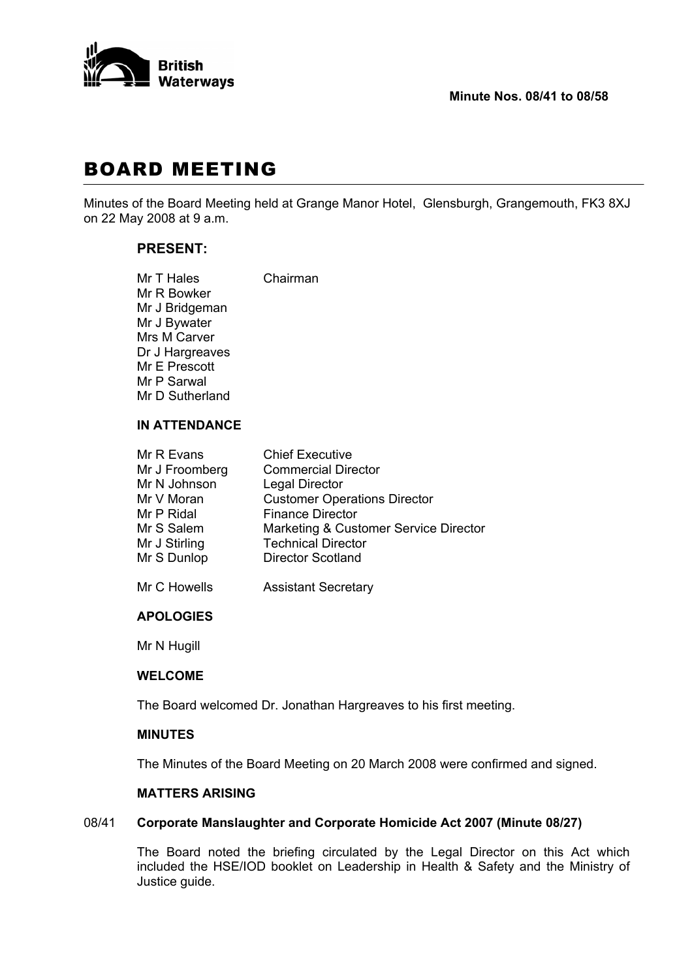

# BOARD MEETING

Minutes of the Board Meeting held at Grange Manor Hotel, Glensburgh, Grangemouth, FK3 8XJ on 22 May 2008 at 9 a.m.

# **PRESENT:**

| Mr T Hales      | Chairman |
|-----------------|----------|
| Mr R Bowker     |          |
| Mr J Bridgeman  |          |
| Mr J Bywater    |          |
| Mrs M Carver    |          |
| Dr J Hargreaves |          |
| Mr E Prescott   |          |
| Mr P Sarwal     |          |
| Mr D Sutherland |          |
|                 |          |

#### **IN ATTENDANCE**

| Mr R Evans     | <b>Chief Executive</b>                |
|----------------|---------------------------------------|
| Mr J Froomberg | <b>Commercial Director</b>            |
| Mr N Johnson   | <b>Legal Director</b>                 |
| Mr V Moran     | <b>Customer Operations Director</b>   |
| Mr P Ridal     | <b>Finance Director</b>               |
| Mr S Salem     | Marketing & Customer Service Director |
| Mr J Stirling  | <b>Technical Director</b>             |
| Mr S Dunlop    | <b>Director Scotland</b>              |
|                |                                       |

Mr C Howells **Assistant Secretary** 

## **APOLOGIES**

Mr N Hugill

#### **WELCOME**

The Board welcomed Dr. Jonathan Hargreaves to his first meeting.

# **MINUTES**

The Minutes of the Board Meeting on 20 March 2008 were confirmed and signed.

# **MATTERS ARISING**

## 08/41 **Corporate Manslaughter and Corporate Homicide Act 2007 (Minute 08/27)**

 The Board noted the briefing circulated by the Legal Director on this Act which included the HSE/IOD booklet on Leadership in Health & Safety and the Ministry of Justice guide.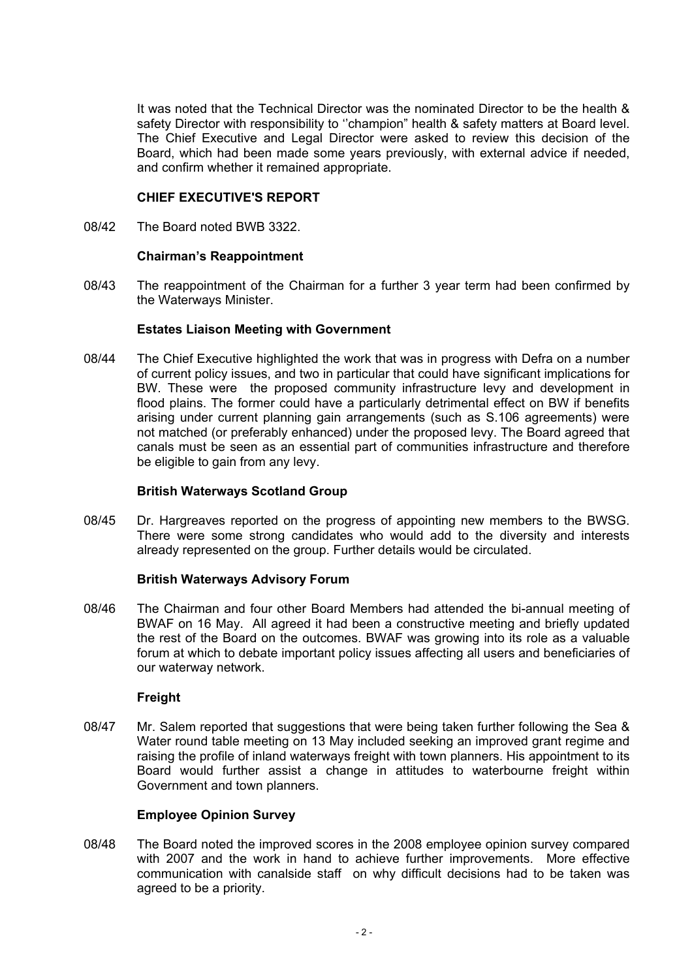It was noted that the Technical Director was the nominated Director to be the health & safety Director with responsibility to ''champion" health & safety matters at Board level. The Chief Executive and Legal Director were asked to review this decision of the Board, which had been made some years previously, with external advice if needed, and confirm whether it remained appropriate.

# **CHIEF EXECUTIVE'S REPORT**

08/42 The Board noted BWB 3322.

#### **Chairman's Reappointment**

08/43 The reappointment of the Chairman for a further 3 year term had been confirmed by the Waterways Minister.

## **Estates Liaison Meeting with Government**

08/44 The Chief Executive highlighted the work that was in progress with Defra on a number of current policy issues, and two in particular that could have significant implications for BW. These were the proposed community infrastructure levy and development in flood plains. The former could have a particularly detrimental effect on BW if benefits arising under current planning gain arrangements (such as S.106 agreements) were not matched (or preferably enhanced) under the proposed levy. The Board agreed that canals must be seen as an essential part of communities infrastructure and therefore be eligible to gain from any levy.

#### **British Waterways Scotland Group**

08/45 Dr. Hargreaves reported on the progress of appointing new members to the BWSG. There were some strong candidates who would add to the diversity and interests already represented on the group. Further details would be circulated.

#### **British Waterways Advisory Forum**

08/46 The Chairman and four other Board Members had attended the bi-annual meeting of BWAF on 16 May. All agreed it had been a constructive meeting and briefly updated the rest of the Board on the outcomes. BWAF was growing into its role as a valuable forum at which to debate important policy issues affecting all users and beneficiaries of our waterway network.

# **Freight**

08/47 Mr. Salem reported that suggestions that were being taken further following the Sea & Water round table meeting on 13 May included seeking an improved grant regime and raising the profile of inland waterways freight with town planners. His appointment to its Board would further assist a change in attitudes to waterbourne freight within Government and town planners.

# **Employee Opinion Survey**

08/48 The Board noted the improved scores in the 2008 employee opinion survey compared with 2007 and the work in hand to achieve further improvements. More effective communication with canalside staff on why difficult decisions had to be taken was agreed to be a priority.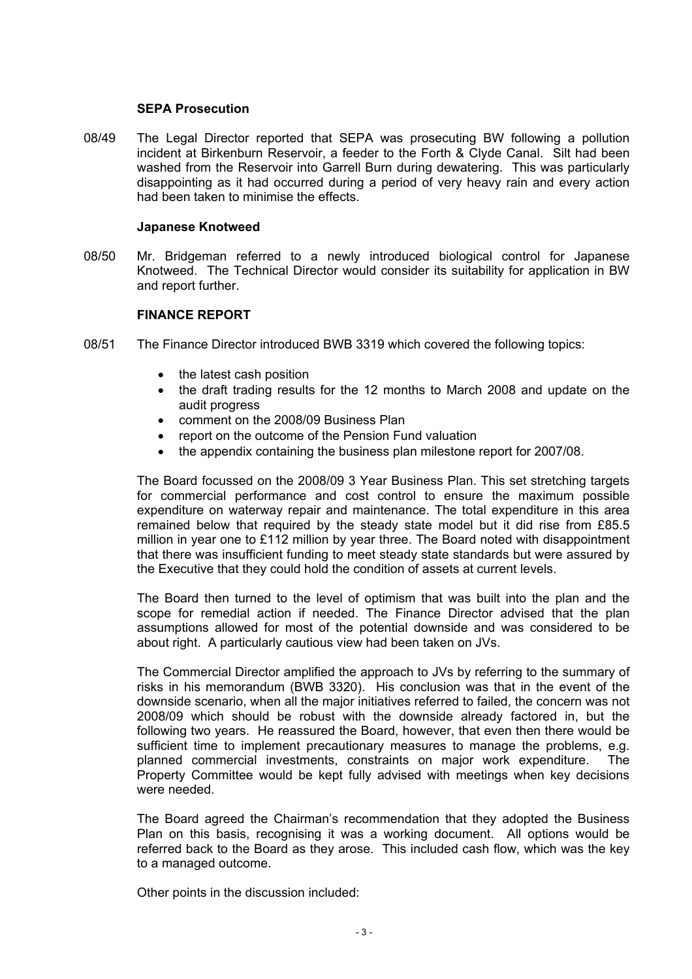#### **SEPA Prosecution**

08/49 The Legal Director reported that SEPA was prosecuting BW following a pollution incident at Birkenburn Reservoir, a feeder to the Forth & Clyde Canal. Silt had been washed from the Reservoir into Garrell Burn during dewatering. This was particularly disappointing as it had occurred during a period of very heavy rain and every action had been taken to minimise the effects.

#### **Japanese Knotweed**

08/50 Mr. Bridgeman referred to a newly introduced biological control for Japanese Knotweed. The Technical Director would consider its suitability for application in BW and report further.

## **FINANCE REPORT**

- 08/51 The Finance Director introduced BWB 3319 which covered the following topics:
	- the latest cash position
	- the draft trading results for the 12 months to March 2008 and update on the audit progress
	- comment on the 2008/09 Business Plan
	- report on the outcome of the Pension Fund valuation
	- the appendix containing the business plan milestone report for 2007/08.

 The Board focussed on the 2008/09 3 Year Business Plan. This set stretching targets for commercial performance and cost control to ensure the maximum possible expenditure on waterway repair and maintenance. The total expenditure in this area remained below that required by the steady state model but it did rise from £85.5 million in year one to £112 million by year three. The Board noted with disappointment that there was insufficient funding to meet steady state standards but were assured by the Executive that they could hold the condition of assets at current levels.

 The Board then turned to the level of optimism that was built into the plan and the scope for remedial action if needed. The Finance Director advised that the plan assumptions allowed for most of the potential downside and was considered to be about right. A particularly cautious view had been taken on JVs.

 The Commercial Director amplified the approach to JVs by referring to the summary of risks in his memorandum (BWB 3320). His conclusion was that in the event of the downside scenario, when all the major initiatives referred to failed, the concern was not 2008/09 which should be robust with the downside already factored in, but the following two years. He reassured the Board, however, that even then there would be sufficient time to implement precautionary measures to manage the problems, e.g. planned commercial investments, constraints on major work expenditure. The Property Committee would be kept fully advised with meetings when key decisions were needed.

 The Board agreed the Chairman's recommendation that they adopted the Business Plan on this basis, recognising it was a working document. All options would be referred back to the Board as they arose. This included cash flow, which was the key to a managed outcome.

Other points in the discussion included: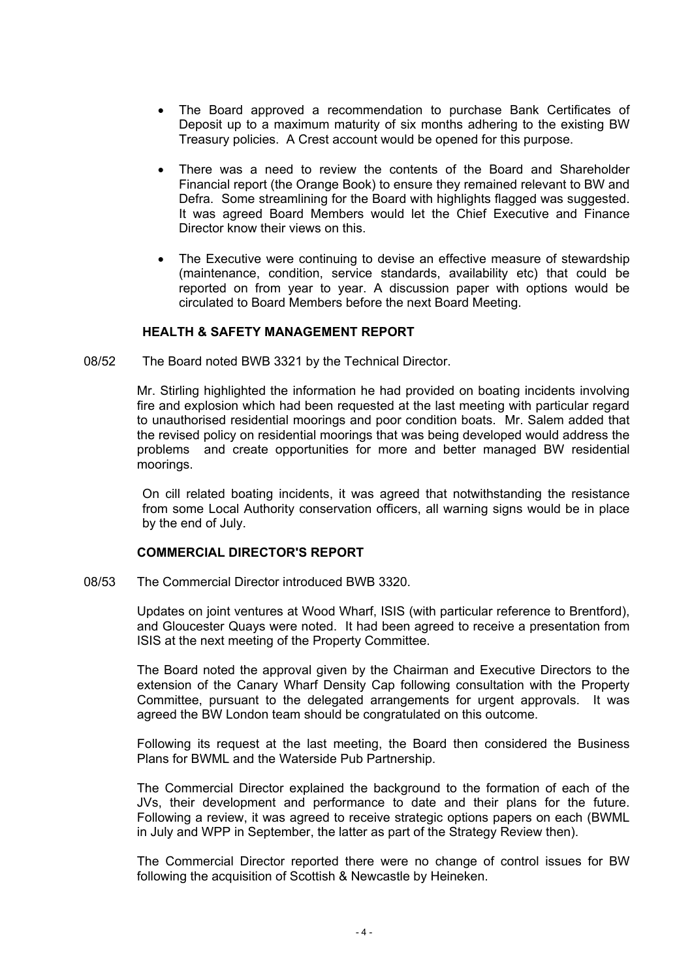- The Board approved a recommendation to purchase Bank Certificates of Deposit up to a maximum maturity of six months adhering to the existing BW Treasury policies. A Crest account would be opened for this purpose.
- There was a need to review the contents of the Board and Shareholder Financial report (the Orange Book) to ensure they remained relevant to BW and Defra. Some streamlining for the Board with highlights flagged was suggested. It was agreed Board Members would let the Chief Executive and Finance Director know their views on this.
- The Executive were continuing to devise an effective measure of stewardship (maintenance, condition, service standards, availability etc) that could be reported on from year to year. A discussion paper with options would be circulated to Board Members before the next Board Meeting.

# **HEALTH & SAFETY MANAGEMENT REPORT**

08/52 The Board noted BWB 3321 by the Technical Director.

 Mr. Stirling highlighted the information he had provided on boating incidents involving fire and explosion which had been requested at the last meeting with particular regard to unauthorised residential moorings and poor condition boats. Mr. Salem added that the revised policy on residential moorings that was being developed would address the problems and create opportunities for more and better managed BW residential moorings.

 On cill related boating incidents, it was agreed that notwithstanding the resistance from some Local Authority conservation officers, all warning signs would be in place by the end of July.

# **COMMERCIAL DIRECTOR'S REPORT**

08/53 The Commercial Director introduced BWB 3320.

 Updates on joint ventures at Wood Wharf, ISIS (with particular reference to Brentford), and Gloucester Quays were noted. It had been agreed to receive a presentation from ISIS at the next meeting of the Property Committee.

 The Board noted the approval given by the Chairman and Executive Directors to the extension of the Canary Wharf Density Cap following consultation with the Property Committee, pursuant to the delegated arrangements for urgent approvals. It was agreed the BW London team should be congratulated on this outcome.

 Following its request at the last meeting, the Board then considered the Business Plans for BWML and the Waterside Pub Partnership.

 The Commercial Director explained the background to the formation of each of the JVs, their development and performance to date and their plans for the future. Following a review, it was agreed to receive strategic options papers on each (BWML in July and WPP in September, the latter as part of the Strategy Review then).

 The Commercial Director reported there were no change of control issues for BW following the acquisition of Scottish & Newcastle by Heineken.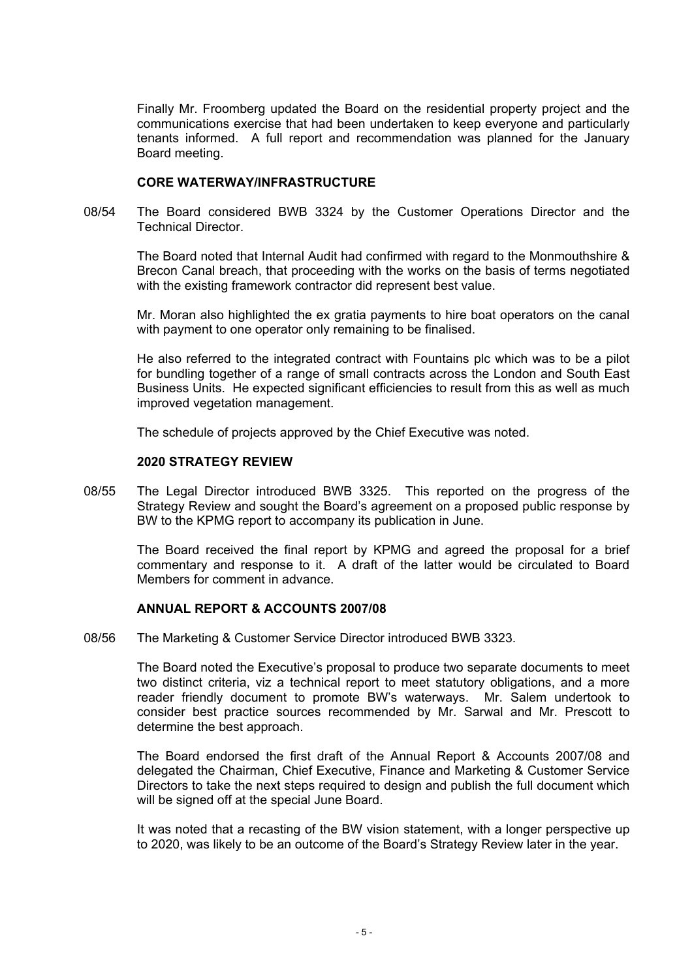Finally Mr. Froomberg updated the Board on the residential property project and the communications exercise that had been undertaken to keep everyone and particularly tenants informed. A full report and recommendation was planned for the January Board meeting.

## **CORE WATERWAY/INFRASTRUCTURE**

08/54 The Board considered BWB 3324 by the Customer Operations Director and the Technical Director.

 The Board noted that Internal Audit had confirmed with regard to the Monmouthshire & Brecon Canal breach, that proceeding with the works on the basis of terms negotiated with the existing framework contractor did represent best value.

 Mr. Moran also highlighted the ex gratia payments to hire boat operators on the canal with payment to one operator only remaining to be finalised.

 He also referred to the integrated contract with Fountains plc which was to be a pilot for bundling together of a range of small contracts across the London and South East Business Units. He expected significant efficiencies to result from this as well as much improved vegetation management.

The schedule of projects approved by the Chief Executive was noted.

## **2020 STRATEGY REVIEW**

08/55 The Legal Director introduced BWB 3325. This reported on the progress of the Strategy Review and sought the Board's agreement on a proposed public response by BW to the KPMG report to accompany its publication in June.

 The Board received the final report by KPMG and agreed the proposal for a brief commentary and response to it. A draft of the latter would be circulated to Board Members for comment in advance.

# **ANNUAL REPORT & ACCOUNTS 2007/08**

08/56 The Marketing & Customer Service Director introduced BWB 3323.

 The Board noted the Executive's proposal to produce two separate documents to meet two distinct criteria, viz a technical report to meet statutory obligations, and a more reader friendly document to promote BW's waterways. Mr. Salem undertook to consider best practice sources recommended by Mr. Sarwal and Mr. Prescott to determine the best approach.

 The Board endorsed the first draft of the Annual Report & Accounts 2007/08 and delegated the Chairman, Chief Executive, Finance and Marketing & Customer Service Directors to take the next steps required to design and publish the full document which will be signed off at the special June Board.

 It was noted that a recasting of the BW vision statement, with a longer perspective up to 2020, was likely to be an outcome of the Board's Strategy Review later in the year.